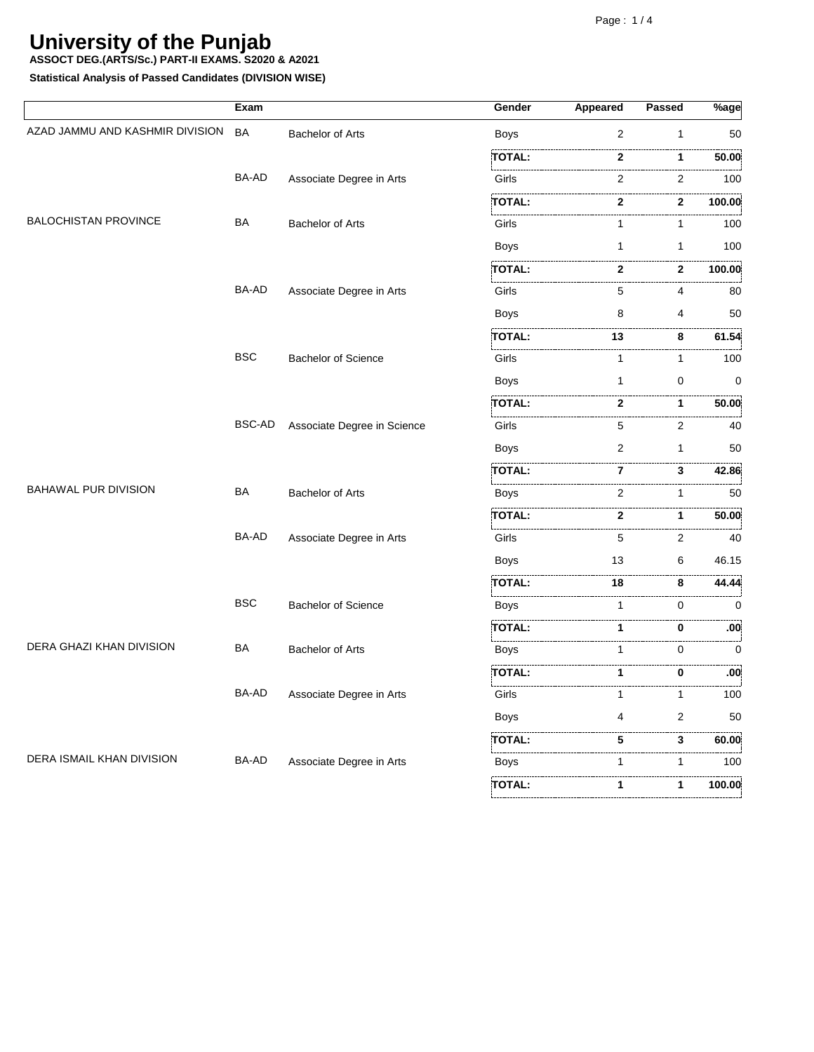**ASSOCT DEG.(ARTS/Sc.) PART-II EXAMS. S2020 & A2021**

**Statistical Analysis of Passed Candidates (DIVISION WISE)**

|                                 | Exam         |                             | Gender                                                       | Appeared       | <b>Passed</b>     | $%$ age              |
|---------------------------------|--------------|-----------------------------|--------------------------------------------------------------|----------------|-------------------|----------------------|
| AZAD JAMMU AND KASHMIR DIVISION | <b>BA</b>    | <b>Bachelor of Arts</b>     | <b>Boys</b>                                                  | 2              | 1                 | 50                   |
|                                 |              |                             | <b>TOTAL:</b>                                                | 2              | 1                 | .<br>50.00           |
|                                 | BA-AD        | Associate Degree in Arts    | Girls                                                        | $\overline{2}$ | .<br>2            | .<br>100             |
|                                 |              |                             | TOTAL:                                                       | $\mathbf{2}$   | $\mathbf{2}$      | .<br>100.00          |
| <b>BALOCHISTAN PROVINCE</b>     | BA           | <b>Bachelor of Arts</b>     | おんしょう アイ・シー<br>Girls                                         | 1              | 1                 | . 3<br>100           |
|                                 |              |                             | Boys                                                         | 1              | 1                 | 100                  |
|                                 |              |                             | <b>TOTAL:</b>                                                | $\mathbf{2}$   | 2                 | 100.00               |
|                                 | BA-AD        | Associate Degree in Arts    | the contract of the contract of the contract of the<br>Girls | 5              | 4                 | 80                   |
|                                 |              |                             | <b>Boys</b>                                                  | 8              | 4                 | 50                   |
|                                 |              |                             | TOTAL:                                                       | 13             | 8                 | 61.54                |
|                                 | <b>BSC</b>   | <b>Bachelor of Science</b>  | Girls                                                        | $\mathbf{1}$   | 1                 | 100                  |
|                                 |              |                             | <b>Boys</b>                                                  | 1              | 0                 | $\mathbf 0$          |
|                                 |              |                             | TOTAL:                                                       | $\mathbf{2}$   | 1                 | 50.00                |
|                                 | BSC-AD       | Associate Degree in Science | Girls                                                        | 5              | 2                 | 40                   |
|                                 |              |                             | Boys                                                         | 2              | 1                 | 50                   |
|                                 |              |                             | <b>TOTAL:</b>                                                | 7              | 3                 | 42.86                |
| <b>BAHAWAL PUR DIVISION</b>     | <b>BA</b>    | <b>Bachelor of Arts</b>     | <b>Boys</b>                                                  | 2              | 1                 | .<br>50              |
|                                 |              |                             | <b>TOTAL:</b>                                                | $\mathbf{2}$   | 1                 | 50.00                |
|                                 | BA-AD        | Associate Degree in Arts    | Girls                                                        | 5              | $\overline{2}$    | .<br>40              |
|                                 |              |                             | <b>Boys</b>                                                  | 13             | 6                 | 46.15                |
|                                 |              |                             | <b>TOTAL:</b>                                                | 18             | 8                 | 44.44                |
|                                 | <b>BSC</b>   | <b>Bachelor of Science</b>  | <b>Boys</b>                                                  | 1              | 0                 | .<br>0               |
|                                 |              |                             | <b>TOTAL:</b>                                                | 1              | 0                 | :00                  |
| DERA GHAZI KHAN DIVISION        | BA           | <b>Bachelor of Arts</b>     | <b>Boys</b>                                                  | 1              | $\Omega$          | 0                    |
|                                 |              |                             | TOTAL:                                                       | 1              | 0                 | <br>.00 <sub>i</sub> |
|                                 | <b>BA-AD</b> | Associate Degree in Arts    | Girls                                                        | 1              | 1                 | . 3<br>.<br>100      |
|                                 |              |                             | <b>Boys</b>                                                  | 4              | 2                 | 50                   |
|                                 |              |                             | <b>TOTAL:</b>                                                | 5              | 3                 | 60.00                |
| DERA ISMAIL KHAN DIVISION       | BA-AD        | Associate Degree in Arts    | <b>Boys</b>                                                  | 1              | .<br>$\mathbf{1}$ | .<br>100             |
|                                 |              |                             | <b>TOTAL:</b>                                                | 1              | 1                 | 100.00               |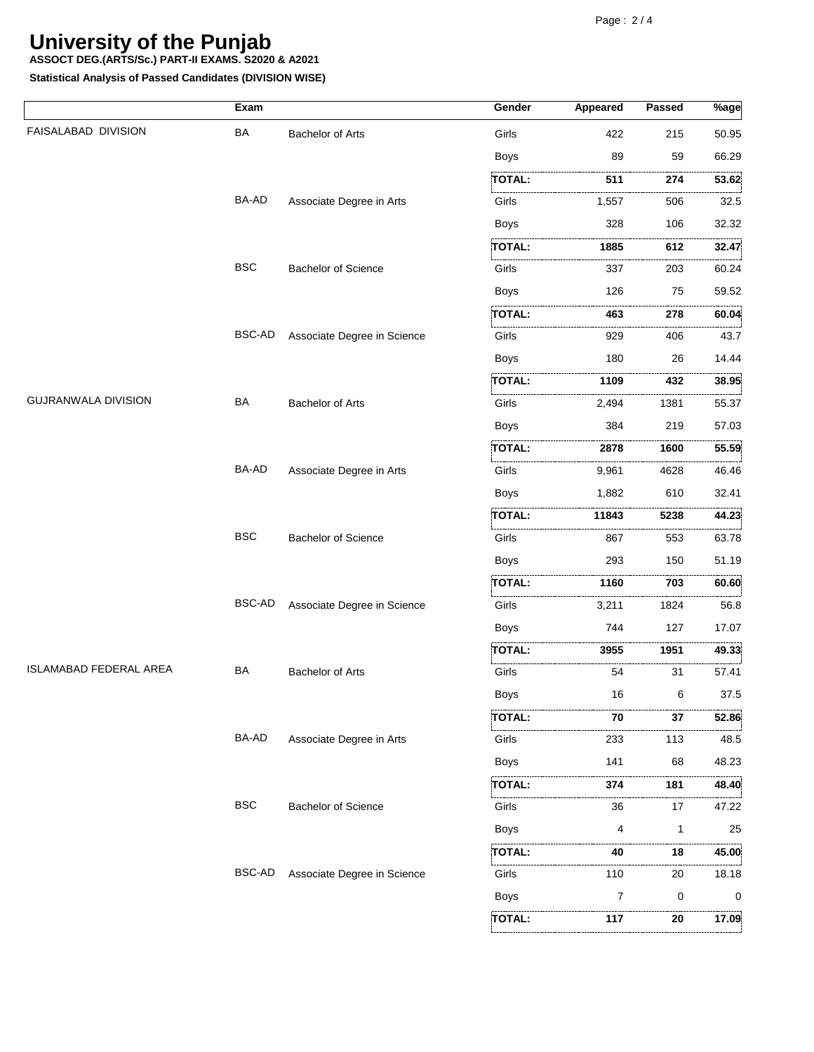**ASSOCT DEG.(ARTS/Sc.) PART-II EXAMS. S2020 & A2021**

**Statistical Analysis of Passed Candidates (DIVISION WISE)**

|                               | Exam          |                             | Gender                               | <b>Appeared</b> | Passed   | $\sqrt[9]{8}$ age |
|-------------------------------|---------------|-----------------------------|--------------------------------------|-----------------|----------|-------------------|
| FAISALABAD DIVISION           | BA            | <b>Bachelor of Arts</b>     | Girls                                | 422             | 215      | 50.95             |
|                               |               |                             | <b>Boys</b>                          | 89              | 59       | 66.29             |
|                               |               |                             | .<br>TOTAL:                          | .<br>511        | .<br>274 | 53.62             |
|                               | BA-AD         | Associate Degree in Arts    | Girls                                | 1,557           | 506      | 32.5              |
|                               |               |                             | <b>Boys</b>                          | 328             | 106      | 32.32             |
|                               |               |                             | TOTAL:                               | 1885            | 612      | 32.47             |
|                               | <b>BSC</b>    | <b>Bachelor of Science</b>  | .<br>Girls                           | 337             | 203      | 60.24             |
|                               |               |                             | <b>Boys</b>                          | 126             | 75       | 59.52             |
|                               |               |                             | TOTAL:                               | .<br>463        | .<br>278 | .<br>60.04        |
|                               | BSC-AD        | Associate Degree in Science | Girls                                | 929             | 406      | .<br>43.7         |
|                               |               |                             | <b>Boys</b>                          | 180             | 26       | 14.44             |
|                               |               |                             | <b>TOTAL:</b>                        | 1109            | 432      | 38.95             |
| <b>GUJRANWALA DIVISION</b>    | <b>BA</b>     | <b>Bachelor of Arts</b>     | .<br>Girls                           | 2,494           | 1381     | 55.37             |
|                               |               |                             | <b>Boys</b>                          | 384             | 219      | 57.03             |
|                               |               |                             | TOTAL:                               | 2878            | 1600     | 55.59             |
|                               | <b>BA-AD</b>  | Associate Degree in Arts    | Girls                                | 9,961           | 4628     | .<br>46.46        |
|                               |               |                             | <b>Boys</b>                          | 1,882           | 610      | 32.41             |
|                               |               |                             | TOTAL:                               | 11843           | 5238     | 44.23             |
|                               | <b>BSC</b>    | <b>Bachelor of Science</b>  | .<br>Girls                           | 867             | 553      | 63.78             |
|                               |               |                             | <b>Boys</b>                          | 293             | 150      | 51.19             |
|                               |               |                             | <b>TOTAL:</b>                        | 1160            | 703      | 60.60             |
|                               | <b>BSC-AD</b> | Associate Degree in Science | in a company of the company<br>Girls | 3,211           | 1824     | .<br>56.8         |
|                               |               |                             | <b>Boys</b>                          | 744             | 127      | 17.07             |
|                               |               |                             | TOTAL:                               | 3955            | 1951     | 49.33             |
| <b>ISLAMABAD FEDERAL AREA</b> | BA            | <b>Bachelor of Arts</b>     | Girls                                | 54              | .<br>31  | .<br>57.41        |
|                               |               |                             | Boys                                 | 16              | 6        | 37.5              |
|                               |               |                             | :TOTAL:                              | 70              | 37       | 52.86             |
|                               | BA-AD         | Associate Degree in Arts    | Girls                                | 233             | 113      | 48.5              |
|                               |               |                             | <b>Boys</b>                          | 141             | 68       | 48.23             |
|                               |               |                             | <br>:TOTAL:                          | <br>374         | .<br>181 | 48.40             |
|                               | <b>BSC</b>    | <b>Bachelor of Science</b>  | Girls                                | 36              | 17       | 47.22             |
|                               |               |                             | <b>Boys</b>                          | 4               | 1        | 25                |
|                               |               |                             | TOTAL:                               | 1.1.1.1<br>40   | .<br>18  | 45.00             |
|                               | <b>BSC-AD</b> | Associate Degree in Science | Girls                                | .<br>110        | .<br>20  | 18.18             |
|                               |               |                             | <b>Boys</b>                          | 7               | 0        | 0                 |
|                               |               |                             | .<br>TOTAL:                          | .<br>117        | .<br>20  | 17.09             |
|                               |               |                             |                                      |                 |          |                   |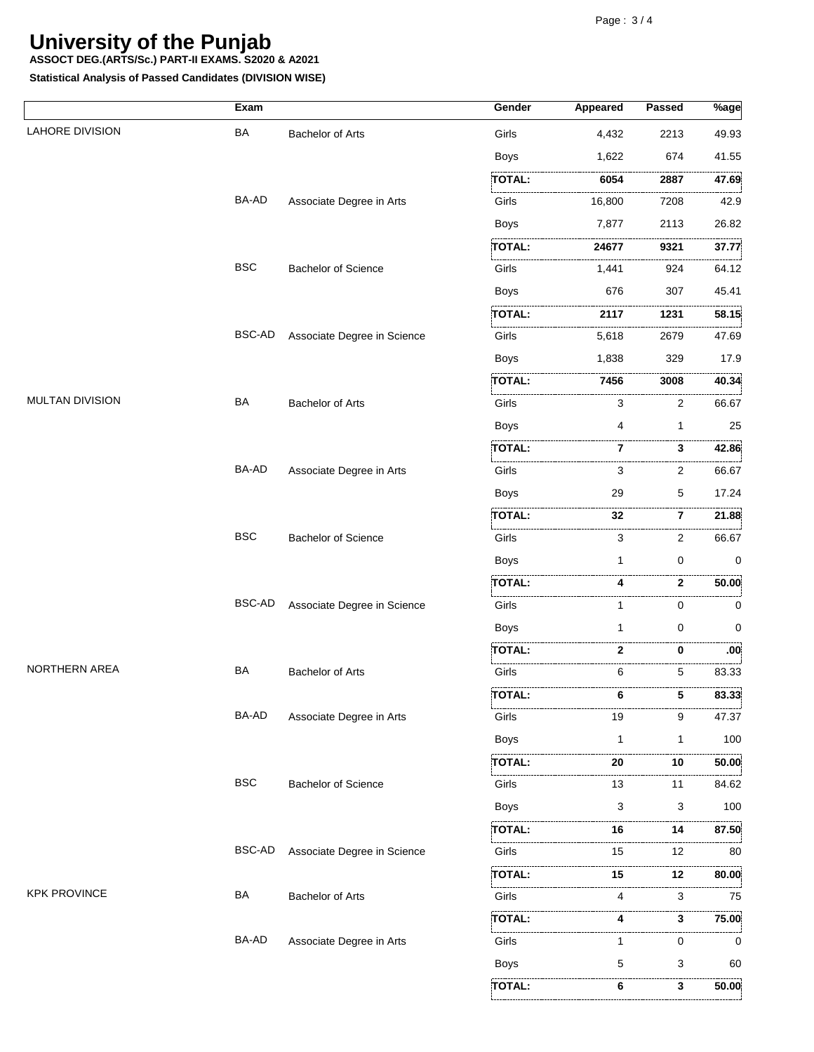**ASSOCT DEG.(ARTS/Sc.) PART-II EXAMS. S2020 & A2021**

**Statistical Analysis of Passed Candidates (DIVISION WISE)**

|                        | Exam       |                             | Gender        | Appeared     | Passed | $%$ age    |
|------------------------|------------|-----------------------------|---------------|--------------|--------|------------|
| <b>LAHORE DIVISION</b> | BA         | <b>Bachelor of Arts</b>     | Girls         | 4,432        | 2213   | 49.93      |
|                        |            |                             | <b>Boys</b>   | 1,622        | 674    | 41.55      |
|                        |            |                             | <b>TOTAL:</b> | 6054         | 2887   | 47.69      |
|                        | BA-AD      | Associate Degree in Arts    | Girls         | 16,800       | 7208   | 42.9       |
|                        |            |                             | <b>Boys</b>   | 7,877        | 2113   | 26.82      |
|                        |            |                             | TOTAL:        | 24677        | 9321   | 37.77      |
|                        | <b>BSC</b> | <b>Bachelor of Science</b>  | Girls         | 1,441        | 924    | 64.12      |
|                        |            |                             | <b>Boys</b>   | 676          | 307    | 45.41      |
|                        |            |                             | TOTAL:        | 2117         | 1231   | 58.15      |
|                        | BSC-AD     | Associate Degree in Science | Girls         | 5,618        | 2679   | 47.69      |
|                        |            |                             | <b>Boys</b>   | 1,838        | 329    | 17.9       |
|                        |            |                             | TOTAL:        | 7456         | 3008   | 40.34      |
| <b>MULTAN DIVISION</b> | <b>BA</b>  | Bachelor of Arts            | Girls         | 3            | 2      | 66.67      |
|                        |            |                             | <b>Boys</b>   | 4            | 1      | 25         |
|                        |            |                             | <b>TOTAL:</b> | 7            | 3      | 42.86      |
|                        | BA-AD      | Associate Degree in Arts    | Girls         | 3            | 2      | 66.67      |
|                        |            |                             | <b>Boys</b>   | 29           | 5      | 17.24      |
|                        |            |                             | TOTAL:        | .<br>32      | 7      | 21.88      |
|                        | <b>BSC</b> | <b>Bachelor of Science</b>  | Girls         | 3            | 2      | 66.67      |
|                        |            |                             | <b>Boys</b>   | $\mathbf{1}$ | 0      | 0          |
|                        |            |                             | <b>TOTAL:</b> | 4            | 2      | 50.00      |
|                        | BSC-AD     | Associate Degree in Science | .<br>Girls    | 1            | 0      | 0          |
|                        |            |                             | <b>Boys</b>   | 1            | 0      | 0          |
|                        |            |                             | TOTAL:        | 2            | 0      | .00.       |
| NORTHERN AREA          | BA         | <b>Bachelor of Arts</b>     | Girls         | 6            | 5      | .<br>83.33 |
|                        |            |                             | TOTAL:        | 6            | 5      | 83.33      |
|                        | BA-AD      | Associate Degree in Arts    | Girls         | 19           | 9      | 47.37      |
|                        |            |                             | <b>Boys</b>   | 1            | 1      | 100        |
|                        |            |                             | TOTAL:        | .<br>20      | 10     | 50.00      |
|                        | <b>BSC</b> | <b>Bachelor of Science</b>  | Girls         | 13           | 11     | 84.62      |
|                        |            |                             | <b>Boys</b>   | 3            | 3      | 100        |
|                        |            |                             | TOTAL:        | 16           | 14     | 87.50      |
|                        | BSC-AD     | Associate Degree in Science | Girls         | 15           | 12     | .<br>80    |
|                        |            |                             | TOTAL:        | 15           | 12     | 80.00      |
| <b>KPK PROVINCE</b>    | BA         | <b>Bachelor of Arts</b>     | Girls         | 4            | 3      | 75         |
|                        |            |                             | TOTAL:        | 4            | 3      | 75.00      |
|                        | BA-AD      | Associate Degree in Arts    | Girls         | 1            | 0      | 0          |
|                        |            |                             | Boys          | 5            | 3      | 60         |
|                        |            |                             | TOTAL:        | 6            | 3      | 50.00      |
|                        |            |                             |               |              |        |            |